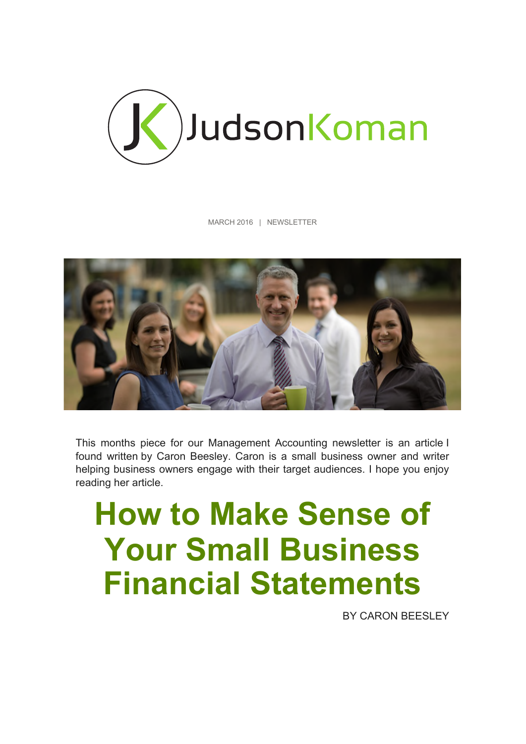

MARCH 2016 | NEWSLETTER



This months piece for our Management Accounting newsletter is an article I found written by Caron Beesley. Caron is a small business owner and writer helping business owners engage with their target audiences. I hope you enjoy reading her article.

# **How to Make Sense of Your Small Business Financial Statements**

BY CARON BEESLEY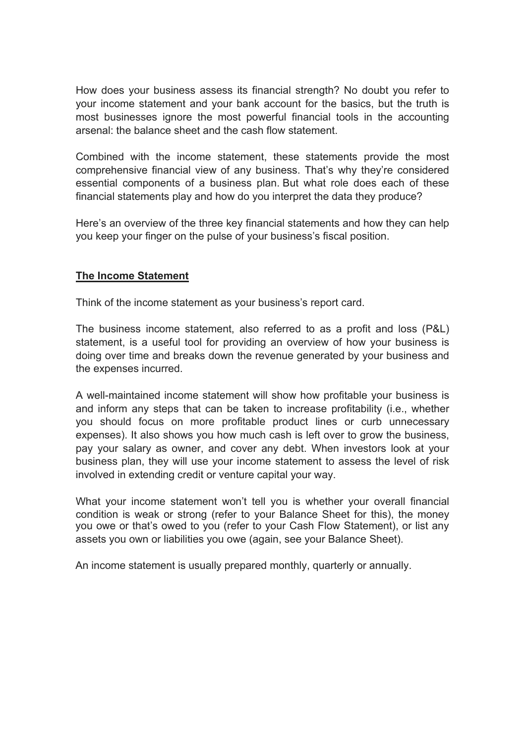How does your business assess its financial strength? No doubt you refer to your income statement and your bank account for the basics, but the truth is most businesses ignore the most powerful financial tools in the accounting arsenal: the balance sheet and the cash flow statement.

Combined with the income statement, these statements provide the most comprehensive financial view of any business. That's why they're considered essential components of a business plan. But what role does each of these financial statements play and how do you interpret the data they produce?

Here's an overview of the three key financial statements and how they can help you keep your finger on the pulse of your business's fiscal position.

#### **The Income Statement**

Think of the income statement as your business's report card.

The business income statement, also referred to as a profit and loss (P&L) statement, is a useful tool for providing an overview of how your business is doing over time and breaks down the revenue generated by your business and the expenses incurred.

A well-maintained income statement will show how profitable your business is and inform any steps that can be taken to increase profitability (i.e., whether you should focus on more profitable product lines or curb unnecessary expenses). It also shows you how much cash is left over to grow the business, pay your salary as owner, and cover any debt. When investors look at your business plan, they will use your income statement to assess the level of risk involved in extending credit or venture capital your way.

What your income statement won't tell you is whether your overall financial condition is weak or strong (refer to your Balance Sheet for this), the money you owe or that's owed to you (refer to your Cash Flow Statement), or list any assets you own or liabilities you owe (again, see your Balance Sheet).

An income statement is usually prepared monthly, quarterly or annually.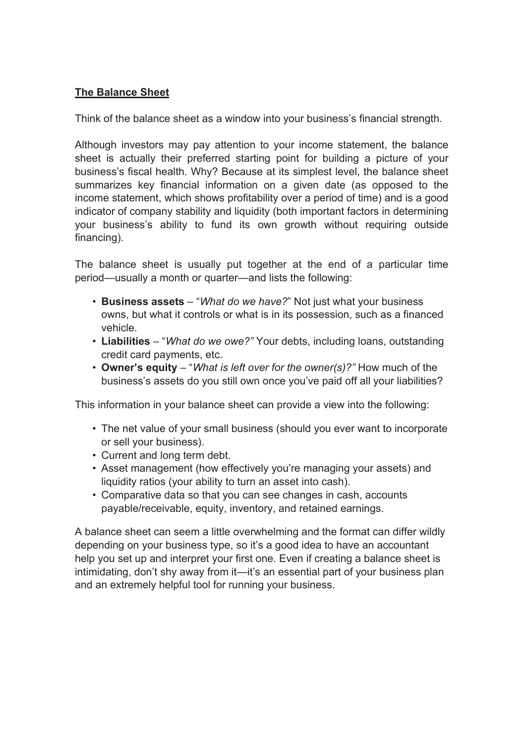## **The Balance Sheet**

Think of the balance sheet as a window into your business's financial strength.

Although investors may pay attention to your income statement, the balance sheet is actually their preferred starting point for building a picture of your business's fiscal health. Why? Because at its simplest level, the balance sheet summarizes key financial information on a given date (as opposed to the income statement, which shows profitability over a period of time) and is a good indicator of company stability and liquidity (both important factors in determining your business's ability to fund its own growth without requiring outside financing).

The balance sheet is usually put together at the end of a particular time period—usually a month or quarter—and lists the following:

- **Business assets** "*What do we have?*" Not just what your business owns, but what it controls or what is in its possession, such as a financed vehicle.
- **Liabilities** "*What do we owe?"* Your debts, including loans, outstanding credit card payments, etc.
- **Owner's equity** "*What is left over for the owner(s)?"* How much of the business's assets do you still own once you've paid off all your liabilities?

This information in your balance sheet can provide a view into the following:

- The net value of your small business (should you ever want to incorporate or sell your business).
- Current and long term debt.
- Asset management (how effectively you're managing your assets) and liquidity ratios (your ability to turn an asset into cash).
- Comparative data so that you can see changes in cash, accounts payable/receivable, equity, inventory, and retained earnings.

A balance sheet can seem a little overwhelming and the format can differ wildly depending on your business type, so it's a good idea to have an accountant help you set up and interpret your first one. Even if creating a balance sheet is intimidating, don't shy away from it—it's an essential part of your business plan and an extremely helpful tool for running your business.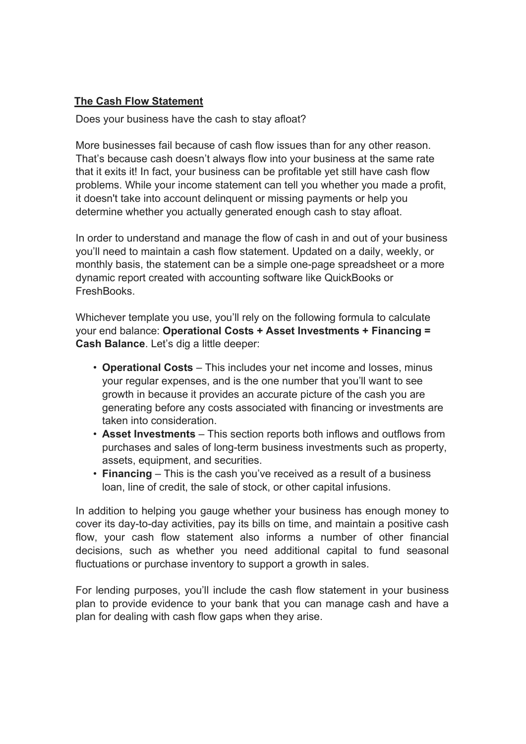## **The Cash Flow Statement**

Does your business have the cash to stay afloat?

More businesses fail because of cash flow issues than for any other reason. That's because cash doesn't always flow into your business at the same rate that it exits it! In fact, your business can be profitable yet still have cash flow problems. While your income statement can tell you whether you made a profit, it doesn't take into account delinquent or missing payments or help you determine whether you actually generated enough cash to stay afloat.

In order to understand and manage the flow of cash in and out of your business you'll need to maintain a cash flow statement. Updated on a daily, weekly, or monthly basis, the statement can be a simple one-page spreadsheet or a more dynamic report created with accounting software like QuickBooks or **FreshBooks** 

Whichever template you use, you'll rely on the following formula to calculate your end balance: **Operational Costs + Asset Investments + Financing = Cash Balance**. Let's dig a little deeper:

- **Operational Costs** This includes your net income and losses, minus your regular expenses, and is the one number that you'll want to see growth in because it provides an accurate picture of the cash you are generating before any costs associated with financing or investments are taken into consideration.
- **Asset Investments** This section reports both inflows and outflows from purchases and sales of long-term business investments such as property, assets, equipment, and securities.
- **Financing** This is the cash you've received as a result of a business loan, line of credit, the sale of stock, or other capital infusions.

In addition to helping you gauge whether your business has enough money to cover its day-to-day activities, pay its bills on time, and maintain a positive cash flow, your cash flow statement also informs a number of other financial decisions, such as whether you need additional capital to fund seasonal fluctuations or purchase inventory to support a growth in sales.

For lending purposes, you'll include the cash flow statement in your business plan to provide evidence to your bank that you can manage cash and have a plan for dealing with cash flow gaps when they arise.